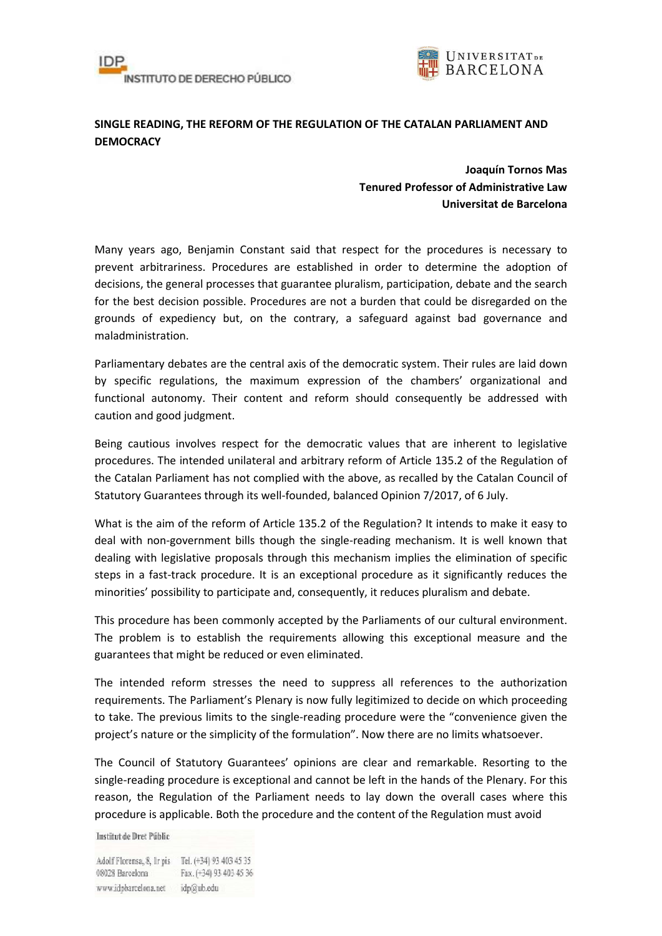



## **SINGLE READING, THE REFORM OF THE REGULATION OF THE CATALAN PARLIAMENT AND DEMOCRACY**

**Joaquín Tornos Mas Tenured Professor of Administrative Law Universitat de Barcelona** 

Many years ago, Benjamin Constant said that respect for the procedures is necessary to prevent arbitrariness. Procedures are established in order to determine the adoption of decisions, the general processes that guarantee pluralism, participation, debate and the search for the best decision possible. Procedures are not a burden that could be disregarded on the grounds of expediency but, on the contrary, a safeguard against bad governance and maladministration.

Parliamentary debates are the central axis of the democratic system. Their rules are laid down by specific regulations, the maximum expression of the chambers' organizational and functional autonomy. Their content and reform should consequently be addressed with caution and good judgment.

Being cautious involves respect for the democratic values that are inherent to legislative procedures. The intended unilateral and arbitrary reform of Article 135.2 of the Regulation of the Catalan Parliament has not complied with the above, as recalled by the Catalan Council of Statutory Guarantees through its well-founded, balanced Opinion 7/2017, of 6 July.

What is the aim of the reform of Article 135.2 of the Regulation? It intends to make it easy to deal with non-government bills though the single-reading mechanism. It is well known that dealing with legislative proposals through this mechanism implies the elimination of specific steps in a fast-track procedure. It is an exceptional procedure as it significantly reduces the minorities' possibility to participate and, consequently, it reduces pluralism and debate.

This procedure has been commonly accepted by the Parliaments of our cultural environment. The problem is to establish the requirements allowing this exceptional measure and the guarantees that might be reduced or even eliminated.

The intended reform stresses the need to suppress all references to the authorization requirements. The Parliament's Plenary is now fully legitimized to decide on which proceeding to take. The previous limits to the single-reading procedure were the "convenience given the project's nature or the simplicity of the formulation". Now there are no limits whatsoever.

The Council of Statutory Guarantees' opinions are clear and remarkable. Resorting to the single-reading procedure is exceptional and cannot be left in the hands of the Plenary. For this reason, the Regulation of the Parliament needs to lay down the overall cases where this procedure is applicable. Both the procedure and the content of the Regulation must avoid

Institut de Dret Públic

Adolf Florensa, 8, Ir pis Tel. (+34) 93 403 45 35 08028 Barcelona Fax. (+34) 93 403 45 36 www.idpbarcelona.net idp@ub.edu